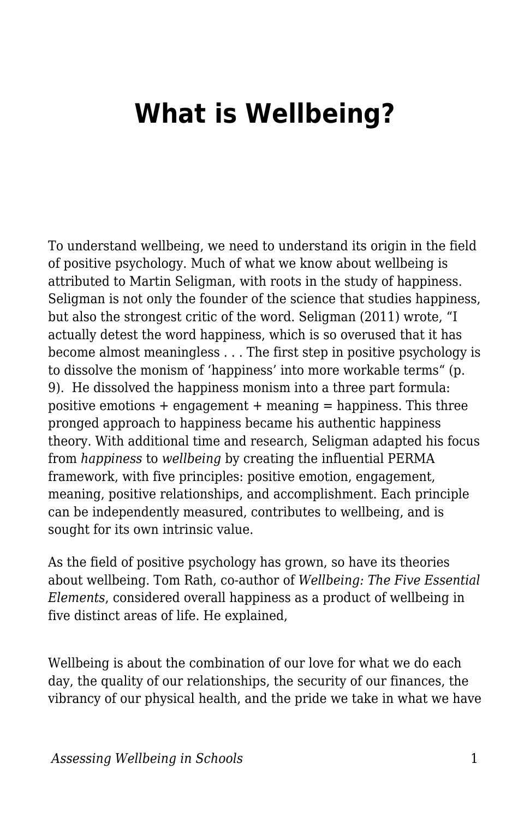## **What is Wellbeing?**

To understand wellbeing, we need to understand its origin in the field of positive psychology. Much of what we know about wellbeing is attributed to Martin Seligman, with roots in the study of happiness. Seligman is not only the founder of the science that studies happiness, but also the strongest critic of the word. Seligman (2011) wrote, "I actually detest the word happiness, which is so overused that it has become almost meaningless . . . The first step in positive psychology is to dissolve the monism of 'happiness' into more workable terms" (p. 9). He dissolved the happiness monism into a three part formula: positive emotions  $+$  engagement  $+$  meaning  $=$  happiness. This three pronged approach to happiness became his authentic happiness theory. With additional time and research, Seligman adapted his focus from *happiness* to *wellbeing* by creating the influential PERMA framework, with five principles: positive emotion, engagement, meaning, positive relationships, and accomplishment. Each principle can be independently measured, contributes to wellbeing, and is sought for its own intrinsic value.

As the field of positive psychology has grown, so have its theories about wellbeing. Tom Rath, co-author of *Wellbeing: The Five Essential Elements*, considered overall happiness as a product of wellbeing in five distinct areas of life. He explained,

Wellbeing is about the combination of our love for what we do each day, the quality of our relationships, the security of our finances, the vibrancy of our physical health, and the pride we take in what we have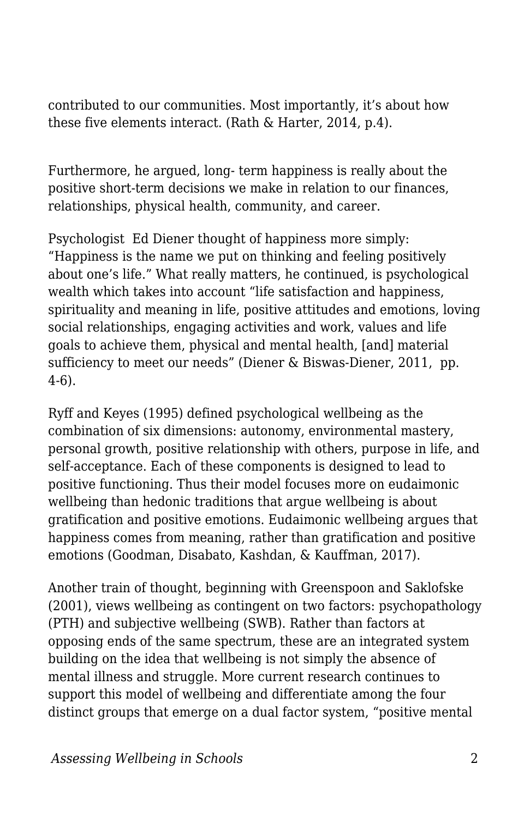contributed to our communities. Most importantly, it's about how these five elements interact. (Rath & Harter, 2014, p.4).

Furthermore, he argued, long- term happiness is really about the positive short-term decisions we make in relation to our finances, relationships, physical health, community, and career.

Psychologist Ed Diener thought of happiness more simply: "Happiness is the name we put on thinking and feeling positively about one's life." What really matters, he continued, is psychological wealth which takes into account "life satisfaction and happiness, spirituality and meaning in life, positive attitudes and emotions, loving social relationships, engaging activities and work, values and life goals to achieve them, physical and mental health, [and] material sufficiency to meet our needs" (Diener & Biswas-Diener, 2011, pp. 4-6).

Ryff and Keyes (1995) defined psychological wellbeing as the combination of six dimensions: autonomy, environmental mastery, personal growth, positive relationship with others, purpose in life, and self-acceptance. Each of these components is designed to lead to positive functioning. Thus their model focuses more on eudaimonic wellbeing than hedonic traditions that argue wellbeing is about gratification and positive emotions. Eudaimonic wellbeing argues that happiness comes from meaning, rather than gratification and positive emotions (Goodman, Disabato, Kashdan, & Kauffman, 2017).

Another train of thought, beginning with Greenspoon and Saklofske (2001), views wellbeing as contingent on two factors: psychopathology (PTH) and subjective wellbeing (SWB). Rather than factors at opposing ends of the same spectrum, these are an integrated system building on the idea that wellbeing is not simply the absence of mental illness and struggle. More current research continues to support this model of wellbeing and differentiate among the four distinct groups that emerge on a dual factor system, "positive mental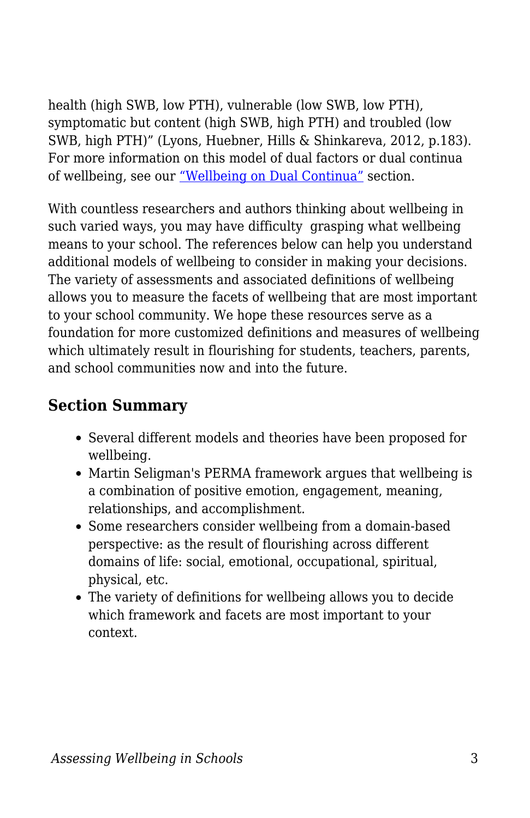health (high SWB, low PTH), vulnerable (low SWB, low PTH), symptomatic but content (high SWB, high PTH) and troubled (low SWB, high PTH)" (Lyons, Huebner, Hills & Shinkareva, 2012, p.183). For more information on this model of dual factors or dual continua of wellbeing, see our ["Wellbeing on Dual Continua"](https://docs.google.com/document/d/15asLn6_O3QEp2Q8DXsoGianio6gjnTzjfVuZ8et1ijo/edit#heading=h.74hv23ri5ld2) section.

With countless researchers and authors thinking about wellbeing in such varied ways, you may have difficulty grasping what wellbeing means to your school. The references below can help you understand additional models of wellbeing to consider in making your decisions. The variety of assessments and associated definitions of wellbeing allows you to measure the facets of wellbeing that are most important to your school community. We hope these resources serve as a foundation for more customized definitions and measures of wellbeing which ultimately result in flourishing for students, teachers, parents, and school communities now and into the future.

## **Section Summary**

- Several different models and theories have been proposed for wellbeing.
- Martin Seligman's PERMA framework argues that wellbeing is a combination of positive emotion, engagement, meaning, relationships, and accomplishment.
- Some researchers consider wellbeing from a domain-based perspective: as the result of flourishing across different domains of life: social, emotional, occupational, spiritual, physical, etc.
- The variety of definitions for wellbeing allows you to decide which framework and facets are most important to your context.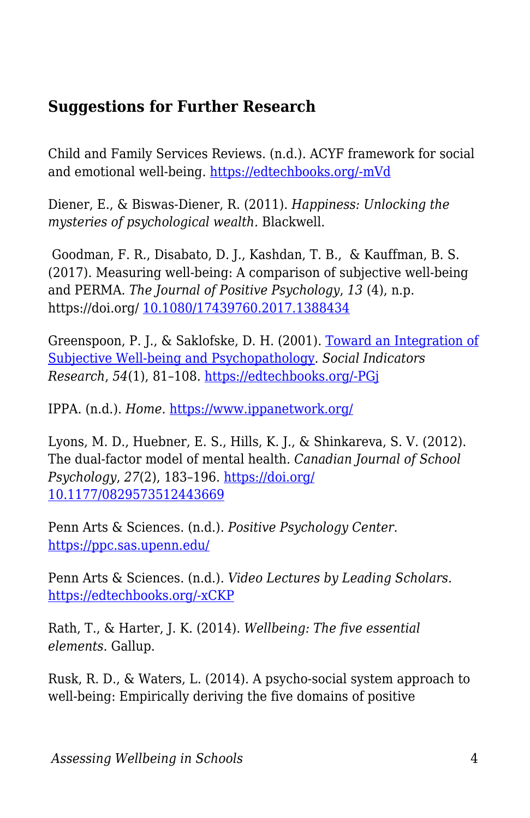## **Suggestions for Further Research**

Child and Family Services Reviews. (n.d.). ACYF framework for social and emotional well-being. [https://edtechbooks.org/-mVd](https://training.cfsrportal.acf.hhs.gov/section-4-trauma-child-welfare-system/2453)

Diener, E., & Biswas-Diener, R. (2011). *Happiness: Unlocking the mysteries of psychological wealth.* Blackwell.

 Goodman, F. R., Disabato, D. J., Kashdan, T. B., & Kauffman, B. S. (2017). Measuring well-being: A comparison of subjective well-being and PERMA. *The Journal of Positive Psychology*, *13* (4), n.p. https://doi.org/ [10.1080/17439760.2017.1388434](https://edtechbooks.org/wellbeing/about:blank)

Greenspoon, P. J., & Saklofske, D. H. (2001). [Toward an Integration of](https://link.springer.com/article/10.1023/A:1007219227883) [Subjective Well-being and Psychopathology](https://link.springer.com/article/10.1023/A:1007219227883). *Social Indicators Research*, *54*(1), 81–108. [https://edtechbooks.org/-PGj](https://edtechbooks.org/wellbeing/about:blank)

IPPA. (n.d.). *Home*. <https://www.ippanetwork.org/>

Lyons, M. D., Huebner, E. S., Hills, K. J., & Shinkareva, S. V. (2012). The dual-factor model of mental health*. Canadian Journal of School Psychology*, *27*(2), 183–196. [https://doi.org/](https://edtechbooks.org/wellbeing/about:blank) [10.1177/0829573512443669](https://edtechbooks.org/wellbeing/about:blank)

Penn Arts & Sciences. (n.d.). *Positive Psychology Center.* <https://ppc.sas.upenn.edu/>

Penn Arts & Sciences. (n.d.). *Video Lectures by Leading Scholars*. [https://edtechbooks.org/-xCKP](https://ppc.sas.upenn.edu/learn-more/readings-and-videos/video-lectures-leading-scholars)

Rath, T., & Harter, J. K. (2014). *Wellbeing: The five essential elements*. Gallup.

Rusk, R. D., & Waters, L. (2014). A psycho-social system approach to well-being: Empirically deriving the five domains of positive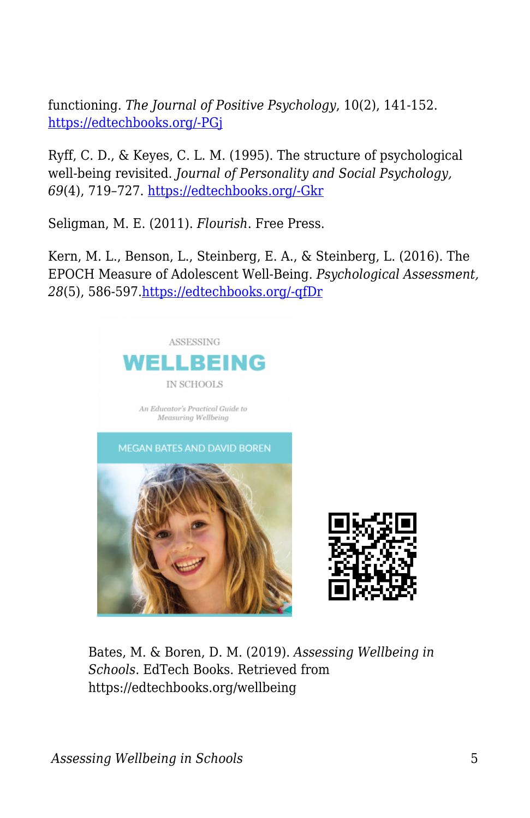functioning. *The Journal of Positive Psychology*, 10(2), 141-152. [https://edtechbooks.org/-PGj](https://edtechbooks.org/wellbeing/about:blank)

Ryff, C. D., & Keyes, C. L. M. (1995). The structure of psychological well-being revisited. *Journal of Personality and Social Psychology, 69*(4), 719–727. [https://edtechbooks.org/-Gkr](https://doi.org/10.1037/0022-3514.69.4.719)

Seligman, M. E. (2011). *Flourish*. Free Press.

Kern, M. L., Benson, L., Steinberg, E. A., & Steinberg, L. (2016). The EPOCH Measure of Adolescent Well-Being. *Psychological Assessment, 28*(5), 586-597[.https://edtechbooks.org/-qfDr](http://doi.org/10.1037/pas0000201)





Bates, M. & Boren, D. M. (2019). *Assessing Wellbeing in Schools*. EdTech Books. Retrieved from https://edtechbooks.org/wellbeing